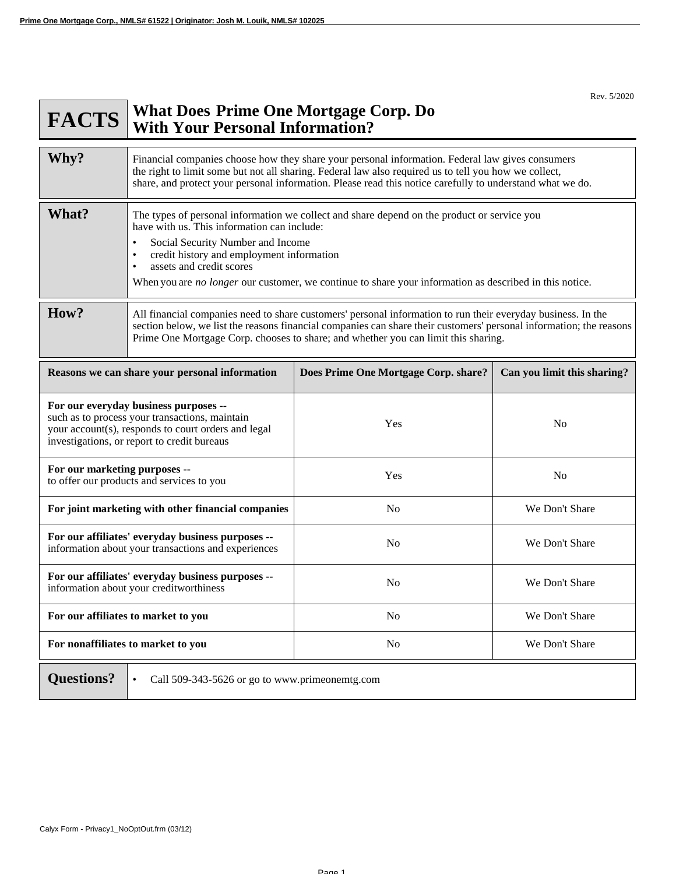**#ADV**

Rev. 5/2020

## **FACTS What Does With Your Personal Information? Prime One Mortgage Corp. Do**

| Why?                                                                                                                                                                                          | Financial companies choose how they share your personal information. Federal law gives consumers<br>the right to limit some but not all sharing. Federal law also required us to tell you how we collect,<br>share, and protect your personal information. Please read this notice carefully to understand what we do.                                                                               |                                      |                             |
|-----------------------------------------------------------------------------------------------------------------------------------------------------------------------------------------------|------------------------------------------------------------------------------------------------------------------------------------------------------------------------------------------------------------------------------------------------------------------------------------------------------------------------------------------------------------------------------------------------------|--------------------------------------|-----------------------------|
| What?                                                                                                                                                                                         | The types of personal information we collect and share depend on the product or service you<br>have with us. This information can include:<br>Social Security Number and Income<br>credit history and employment information<br>$\bullet$<br>assets and credit scores<br>$\bullet$<br>When you are <i>no longer</i> our customer, we continue to share your information as described in this notice. |                                      |                             |
| How?                                                                                                                                                                                          | All financial companies need to share customers' personal information to run their everyday business. In the<br>section below, we list the reasons financial companies can share their customers' personal information; the reasons<br>Prime One Mortgage Corp. chooses to share; and whether you can limit this sharing.                                                                            |                                      |                             |
| Reasons we can share your personal information                                                                                                                                                |                                                                                                                                                                                                                                                                                                                                                                                                      | Does Prime One Mortgage Corp. share? | Can you limit this sharing? |
| For our everyday business purposes --<br>such as to process your transactions, maintain<br>your account(s), responds to court orders and legal<br>investigations, or report to credit bureaus |                                                                                                                                                                                                                                                                                                                                                                                                      | Yes                                  | No                          |
| For our marketing purposes --<br>to offer our products and services to you                                                                                                                    |                                                                                                                                                                                                                                                                                                                                                                                                      | Yes                                  | N <sub>o</sub>              |
| For joint marketing with other financial companies                                                                                                                                            |                                                                                                                                                                                                                                                                                                                                                                                                      | N <sub>0</sub>                       | We Don't Share              |
| For our affiliates' everyday business purposes --<br>information about your transactions and experiences                                                                                      |                                                                                                                                                                                                                                                                                                                                                                                                      | N <sub>0</sub>                       | We Don't Share              |
| For our affiliates' everyday business purposes --<br>information about your creditworthiness                                                                                                  |                                                                                                                                                                                                                                                                                                                                                                                                      | N <sub>o</sub>                       | We Don't Share              |
| For our affiliates to market to you                                                                                                                                                           |                                                                                                                                                                                                                                                                                                                                                                                                      | N <sub>0</sub>                       | We Don't Share              |
| For nonaffiliates to market to you                                                                                                                                                            |                                                                                                                                                                                                                                                                                                                                                                                                      | N <sub>o</sub>                       | We Don't Share              |
| <b>Ouestions?</b><br>Call 509-343-5626 or go to www.primeonemtg.com                                                                                                                           |                                                                                                                                                                                                                                                                                                                                                                                                      |                                      |                             |